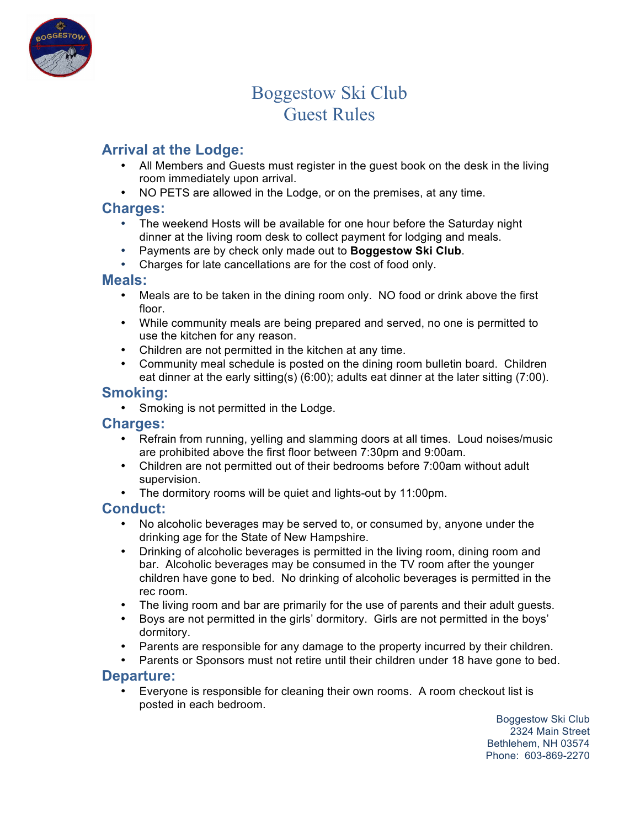

# Boggestow Ski Club Guest Rules

## **Arrival at the Lodge:**

- All Members and Guests must register in the guest book on the desk in the living room immediately upon arrival.
- NO PETS are allowed in the Lodge, or on the premises, at any time.

#### **Charges:**

- The weekend Hosts will be available for one hour before the Saturday night dinner at the living room desk to collect payment for lodging and meals.
- Payments are by check only made out to **Boggestow Ski Club**.
- Charges for late cancellations are for the cost of food only.

#### **Meals:**

- Meals are to be taken in the dining room only. NO food or drink above the first floor.
- While community meals are being prepared and served, no one is permitted to use the kitchen for any reason.
- Children are not permitted in the kitchen at any time.
- Community meal schedule is posted on the dining room bulletin board. Children eat dinner at the early sitting(s) (6:00); adults eat dinner at the later sitting (7:00).

### **Smoking:**

• Smoking is not permitted in the Lodge.

#### **Charges:**

- Refrain from running, yelling and slamming doors at all times. Loud noises/music are prohibited above the first floor between 7:30pm and 9:00am.
- Children are not permitted out of their bedrooms before 7:00am without adult supervision.
- The dormitory rooms will be quiet and lights-out by 11:00pm.

## **Conduct:**

- No alcoholic beverages may be served to, or consumed by, anyone under the drinking age for the State of New Hampshire.
- Drinking of alcoholic beverages is permitted in the living room, dining room and bar. Alcoholic beverages may be consumed in the TV room after the younger children have gone to bed. No drinking of alcoholic beverages is permitted in the rec room.
- The living room and bar are primarily for the use of parents and their adult guests.
- Boys are not permitted in the girls' dormitory. Girls are not permitted in the boys' dormitory.
- Parents are responsible for any damage to the property incurred by their children.
- Parents or Sponsors must not retire until their children under 18 have gone to bed.

#### **Departure:**

• Everyone is responsible for cleaning their own rooms. A room checkout list is posted in each bedroom.

Boggestow Ski Club 2324 Main Street Bethlehem, NH 03574 Phone: 603-869-2270